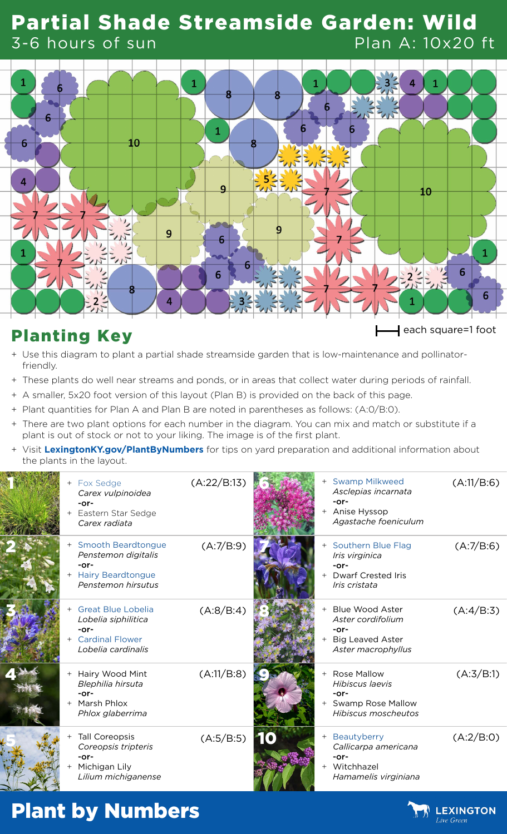#### Partial Shade Streamside Garden: Wild 3-6 hours of sun Plan A: 10x20 ft



# Planting Key each square=1 foot

- + Use this diagram to plant a partial shade streamside garden that is low-maintenance and pollinatorfriendly.
- + These plants do well near streams and ponds, or in areas that collect water during periods of rainfall.
- + A smaller, 5x20 foot version of this layout (Plan B) is provided on the back of this page.
- + Plant quantities for Plan A and Plan B are noted in parentheses as follows: (A:0/B:0).
- + There are two plant options for each number in the diagram. You can mix and match or substitute if a plant is out of stock or not to your liking. The image is of the first plant.
- + Visit **[LexingtonKY.gov/PlantByNumbers](http://LexingtonKY.gov/PlantByNumbers)** for tips on yard preparation and additional information about the plants in the layout.

| + Fox Sedge<br>Carex vulpinoidea<br>$-0r-$<br>Eastern Star Sedge<br>Carex radiata                  | (A:22/B:13) |  | + Swamp Milkweed<br>Asclepias incarnata<br>$-0r-$<br>+ Anise Hyssop<br>Agastache foeniculum  | (A:11/B:6) |
|----------------------------------------------------------------------------------------------------|-------------|--|----------------------------------------------------------------------------------------------|------------|
| + Smooth Beardtongue<br>Penstemon digitalis<br>$-0r-$<br>+ Hairy Beardtongue<br>Penstemon hirsutus | (A:7/B:9)   |  | + Southern Blue Flag<br>Iris virginica<br>$-0r-$<br>+ Dwarf Crested Iris<br>Iris cristata    | (A:7/B:6)  |
| + Great Blue Lobelia<br>Lobelia siphilitica<br>$-0r-$<br>+ Cardinal Flower<br>Lobelia cardinalis   | (A:8/B:4)   |  | + Blue Wood Aster<br>Aster cordifolium<br>$-0r-$<br>+ Big Leaved Aster<br>Aster macrophyllus | (A:4/B:3)  |
| + Hairy Wood Mint<br>Blephilia hirsuta<br>$-0r-$<br>+ Marsh Phlox<br>Phlox glaberrima              | (A:11/B:8)  |  | + Rose Mallow<br>Hibiscus laevis<br>$-0r-$<br>+ Swamp Rose Mallow<br>Hibiscus moscheutos     | (A:3/B:1)  |
| <b>Tall Coreopsis</b><br>Coreopsis tripteris<br>$-0r-$<br>Michigan Lily<br>Lilium michiganense     | (A:5/B:5)   |  | + Beautyberry<br>Callicarpa americana<br>$-0r-$<br>+ Witchhazel<br>Hamamelis virginiana      | (A:2/B:0)  |

## Plant by Numbers